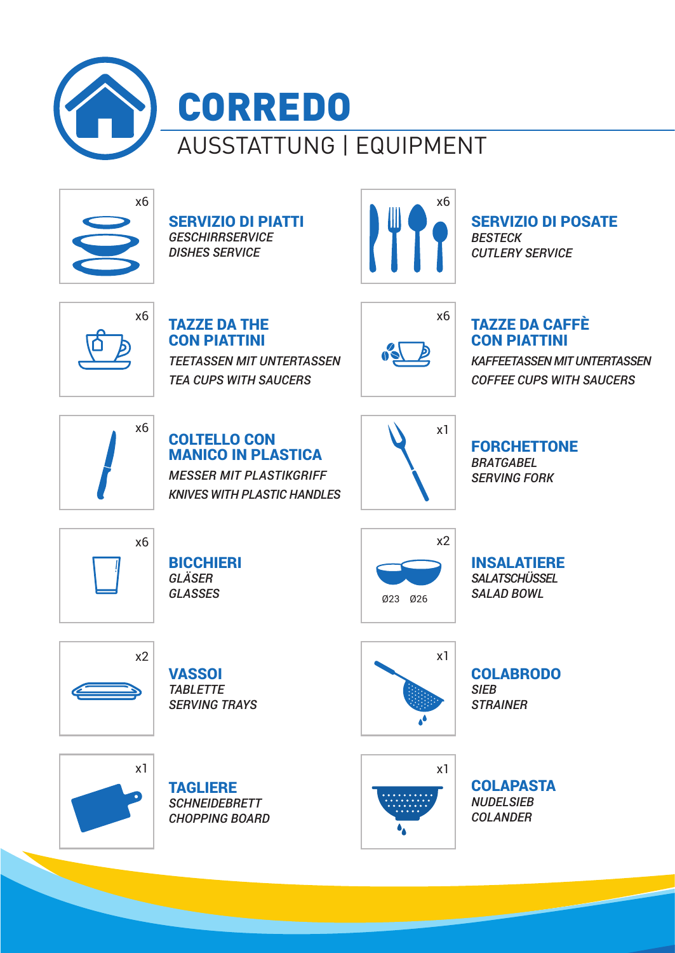



SERVIZIO DI PIATTI *GESCHIRRSERVICE DISHES SERVICE*  $\times$ 6<br>SERVIZIO DI PIATTI<br>*GESCHIRRSERVICE*<br>DISHES SERVICE



SERVIZIO DI POSATE *BESTECK CUTLERY SERVICE*

x6

TAZZE DA THE CON PIATTINI *TEETASSEN MIT UNTERTASSEN TEA CUPS WITH SAUCERS*



### TAZZE DA CAFFÈ CON PIATTINI

*KAFFEETASSEN MIT UNTERTASSEN COFFEE CUPS WITH SAUCERS*



### COLTELLO CON MANICO IN PLASTICA *MESSER MIT PLASTIKGRIFF*

*KNIVES WITH PLASTIC HANDLES*



#### FORCHETTONE *BRATGABEL SERVING FORK*



**BICCHIERI** *GLÄSER GLASSES*



INSALATIERE *SALATSCHÜSSEL SALAD BOWL*



**VASSOI** *TABLETTE SERVING TRAYS*



COLABRODO *SIEB STRAINER*







**COLAPASTA** *NUDELSIEB COLANDER*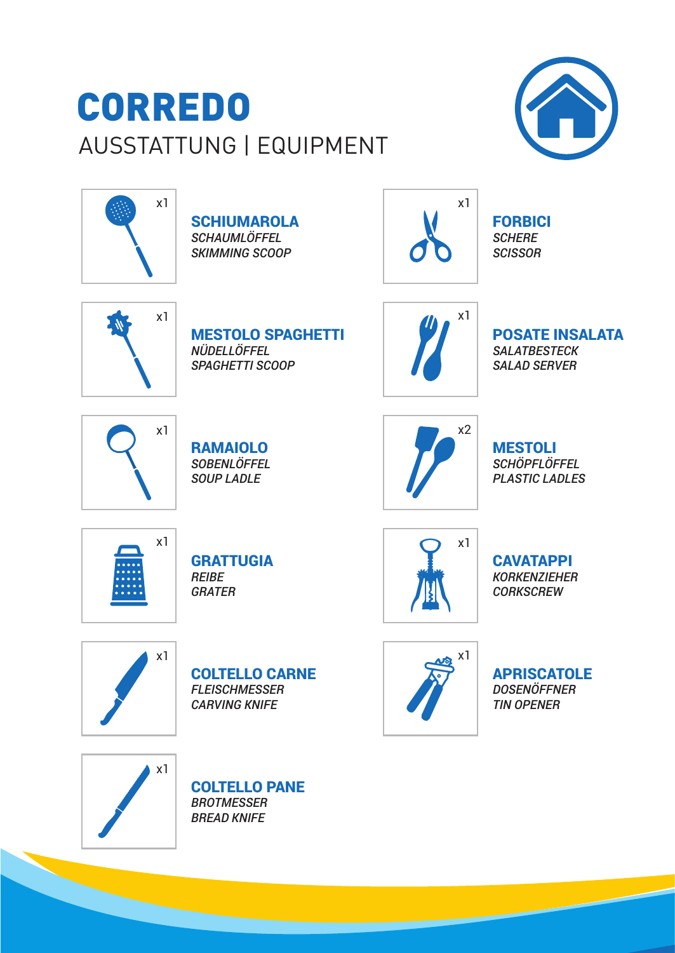# AUSSTATTUNG | EQUIPMENT CORREDO





**SCHIUMAROLA** *SCHAUMLÖFFEL SKIMMING SCOOP*



FORBICI *SCHERE SCISSOR*



MESTOLO SPAGHETTI *NÜDELLÖFFEL SPAGHETTI SCOOP*



POSATE INSALATA *SALATBESTECK SALAD SERVER*



RAMAIOLO *SOBENLÖFFEL SOUP LADLE*



MESTOLI *SCHÖPFLÖFFEL PLASTIC LADLES*



**GRATTUGIA** *REIBE GRATER*



**CAVATAPPI** *KORKENZIEHER CORKSCREW*



COLTELLO CARNE *FLEISCHMESSER CARVING KNIFE*



APRISCATOLE *DOSENÖFFNER TIN OPENER*



COLTELLO PANE *BROTMESSER BREAD KNIFE*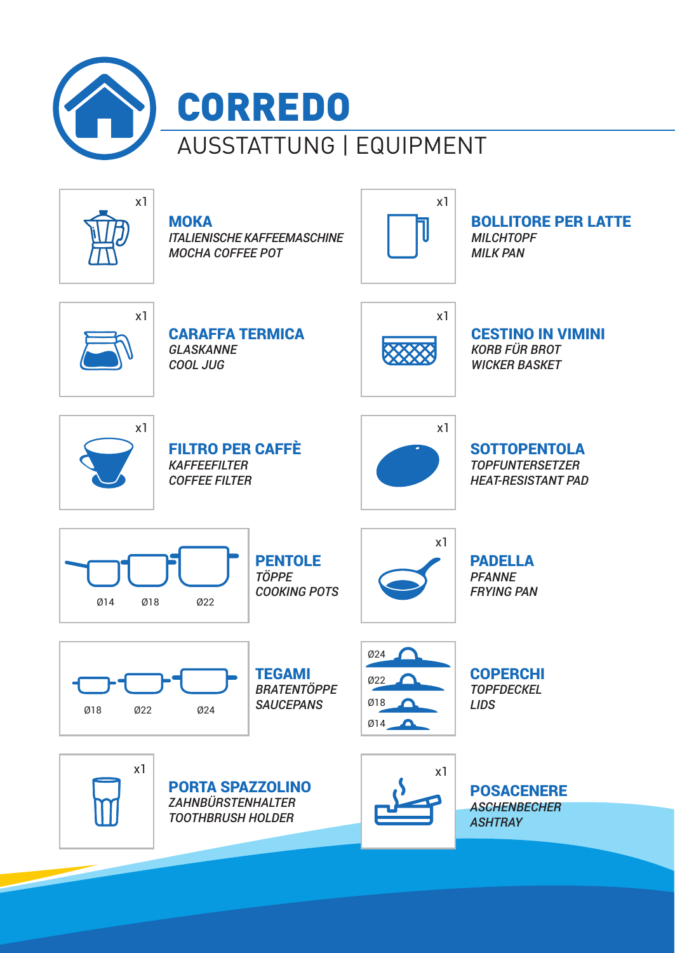

*ITALIENISCHE KAFFEEMASCHINE*

 $x1$  x1

BOLLITORE PER LATTE *MILCHTOPF MILK PAN*



CARAFFA TERMICA *GLASKANNE COOL JUG*

*MOCHA COFFEE POT*

**MOKA** 



CESTINO IN VIMINI *KORB FÜR BROT WICKER BASKET*



FILTRO PER CAFFÈ *KAFFEEFILTER COFFEE FILTER*



**SOTTOPENTOLA** *TOPFUNTERSETZER HEAT-RESISTANT PAD*



**PENTOLE** *TÖPPE COOKING POTS*



PADELLA *PFANNE FRYING PAN*



**TEGAMI** *BRATENTÖPPE*



COPERCHI *TOPFDECKEL LIDS*



 $x1$  x1 PORTA SPAZZOLINO *ZAHNBÜRSTENHALTER TOOTHBRUSH HOLDER*



POSACENERE *ASCHENBECHER ASHTRAY*